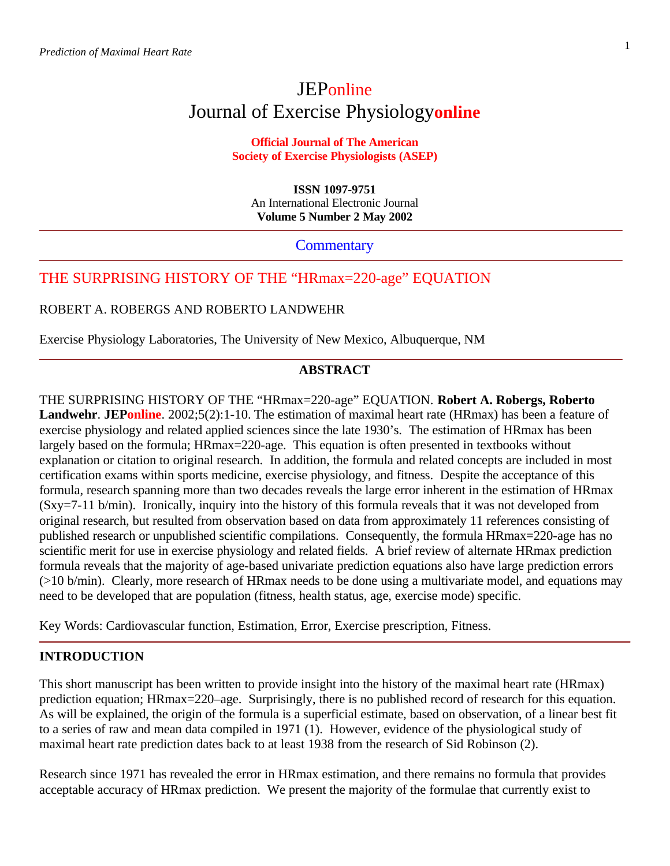# **JEP**online Journal of Exercise Physiology**online**

## **Official Journal of The American Society of Exercise Physiologists (ASEP)**

**ISSN 1097-9751** An International Electronic Journal **Volume 5 Number 2 May 2002**

**Commentary** 

## THE SURPRISING HISTORY OF THE "HRmax=220-age" EQUATION

ROBERT A. ROBERGS AND ROBERTO LANDWEHR

Exercise Physiology Laboratories, The University of New Mexico, Albuquerque, NM

## **ABSTRACT**

THE SURPRISING HISTORY OF THE "HRmax=220-age" EQUATION. **Robert A. Robergs, Roberto Landwehr**. **JEPonline**. 2002;5(2):1-10. The estimation of maximal heart rate (HRmax) has been a feature of exercise physiology and related applied sciences since the late 1930's. The estimation of HRmax has been largely based on the formula; HRmax=220-age. This equation is often presented in textbooks without explanation or citation to original research. In addition, the formula and related concepts are included in most certification exams within sports medicine, exercise physiology, and fitness. Despite the acceptance of this formula, research spanning more than two decades reveals the large error inherent in the estimation of HRmax (Sxy=7-11 b/min). Ironically, inquiry into the history of this formula reveals that it was not developed from original research, but resulted from observation based on data from approximately 11 references consisting of published research or unpublished scientific compilations. Consequently, the formula HRmax=220-age has no scientific merit for use in exercise physiology and related fields. A brief review of alternate HRmax prediction formula reveals that the majority of age-based univariate prediction equations also have large prediction errors (>10 b/min). Clearly, more research of HRmax needs to be done using a multivariate model, and equations may need to be developed that are population (fitness, health status, age, exercise mode) specific.

Key Words: Cardiovascular function, Estimation, Error, Exercise prescription, Fitness.

### **INTRODUCTION**

This short manuscript has been written to provide insight into the history of the maximal heart rate (HRmax) prediction equation; HRmax=220–age. Surprisingly, there is no published record of research for this equation. As will be explained, the origin of the formula is a superficial estimate, based on observation, of a linear best fit to a series of raw and mean data compiled in 1971 (1). However, evidence of the physiological study of maximal heart rate prediction dates back to at least 1938 from the research of Sid Robinson (2).

Research since 1971 has revealed the error in HRmax estimation, and there remains no formula that provides acceptable accuracy of HRmax prediction. We present the majority of the formulae that currently exist to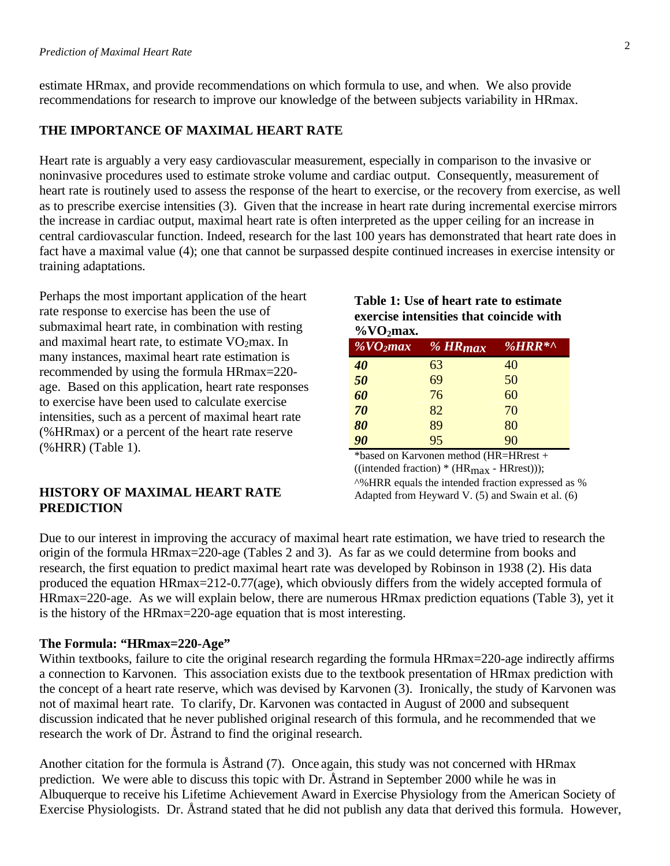estimate HRmax, and provide recommendations on which formula to use, and when. We also provide recommendations for research to improve our knowledge of the between subjects variability in HRmax.

## **THE IMPORTANCE OF MAXIMAL HEART RATE**

Heart rate is arguably a very easy cardiovascular measurement, especially in comparison to the invasive or noninvasive procedures used to estimate stroke volume and cardiac output. Consequently, measurement of heart rate is routinely used to assess the response of the heart to exercise, or the recovery from exercise, as well as to prescribe exercise intensities (3). Given that the increase in heart rate during incremental exercise mirrors the increase in cardiac output, maximal heart rate is often interpreted as the upper ceiling for an increase in central cardiovascular function. Indeed, research for the last 100 years has demonstrated that heart rate does in fact have a maximal value (4); one that cannot be surpassed despite continued increases in exercise intensity or training adaptations.

Perhaps the most important application of the heart rate response to exercise has been the use of submaximal heart rate, in combination with resting and maximal heart rate, to estimate  $VO<sub>2</sub>$ max. In many instances, maximal heart rate estimation is recommended by using the formula HRmax=220 age. Based on this application, heart rate responses to exercise have been used to calculate exercise intensities, such as a percent of maximal heart rate (%HRmax) or a percent of the heart rate reserve (%HRR) (Table 1).

## **Table 1: Use of heart rate to estimate exercise intensities that coincide with %VO2max.**

| / V V V Дымле         |                       |           |
|-----------------------|-----------------------|-----------|
| $\sqrt[9]{8}VO_2$ max | $%$ HR <sub>max</sub> | % $HRR^*$ |
| 40                    | 63                    | 40        |
| 50                    | 69                    | 50        |
| 60                    | 76                    | 60        |
| 70                    | 82                    | 70        |
| 80                    | 89                    | 80        |
| 90                    | 95                    | 90        |

\*based on Karvonen method (HR=HRrest + ((intended fraction)  $*$  (HR<sub>max</sub> - HRrest))); ^%HRR equals the intended fraction expressed as % Adapted from Heyward V. (5) and Swain et al. (6)

## **HISTORY OF MAXIMAL HEART RATE PREDICTION**

Due to our interest in improving the accuracy of maximal heart rate estimation, we have tried to research the origin of the formula HRmax=220-age (Tables 2 and 3). As far as we could determine from books and research, the first equation to predict maximal heart rate was developed by Robinson in 1938 (2). His data produced the equation HRmax=212-0.77(age), which obviously differs from the widely accepted formula of HRmax=220-age. As we will explain below, there are numerous HRmax prediction equations (Table 3), yet it is the history of the HRmax=220-age equation that is most interesting.

#### **The Formula: "HRmax=220-Age"**

Within textbooks, failure to cite the original research regarding the formula HRmax=220-age indirectly affirms a connection to Karvonen. This association exists due to the textbook presentation of HRmax prediction with the concept of a heart rate reserve, which was devised by Karvonen (3). Ironically, the study of Karvonen was not of maximal heart rate. To clarify, Dr. Karvonen was contacted in August of 2000 and subsequent discussion indicated that he never published original research of this formula, and he recommended that we research the work of Dr. Åstrand to find the original research.

Another citation for the formula is Åstrand (7). Once again, this study was not concerned with HRmax prediction. We were able to discuss this topic with Dr. Åstrand in September 2000 while he was in Albuquerque to receive his Lifetime Achievement Award in Exercise Physiology from the American Society of Exercise Physiologists. Dr. Åstrand stated that he did not publish any data that derived this formula. However,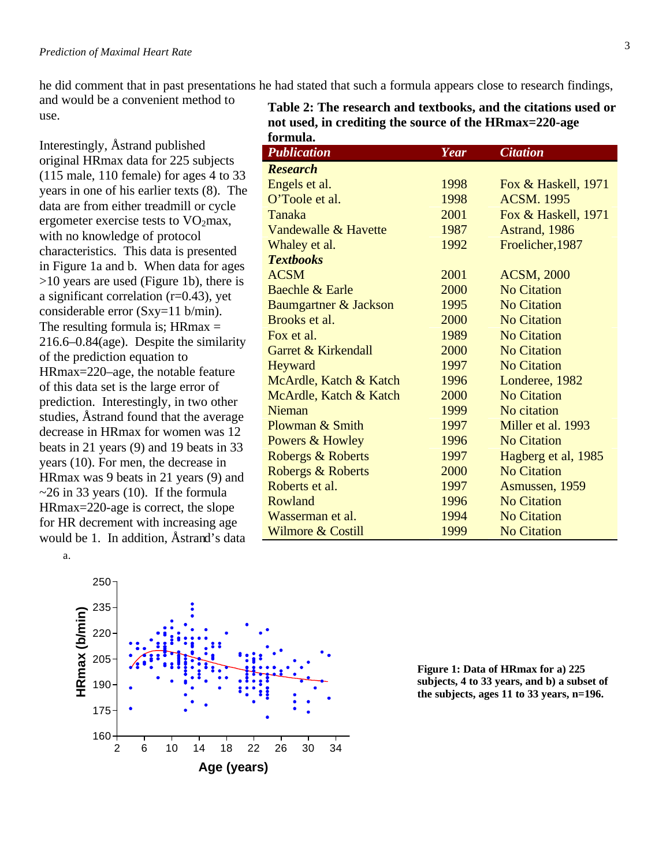he did comment that in past presentations he had stated that such a formula appears close to research findings,

and would be a convenient method to use.

Interestingly, Åstrand published original HRmax data for 225 subjects (115 male, 110 female) for ages 4 to 33 years in one of his earlier texts (8). The data are from either treadmill or cycle ergometer exercise tests to  $VO<sub>2</sub>max$ , with no knowledge of protocol characteristics. This data is presented in Figure 1a and b. When data for ages >10 years are used (Figure 1b), there is a significant correlation (r=0.43), yet considerable error (Sxy=11 b/min). The resulting formula is;  $H\n R\n max =$ 216.6–0.84(age). Despite the similarity of the prediction equation to HRmax=220–age, the notable feature of this data set is the large error of prediction. Interestingly, in two other studies, Åstrand found that the average decrease in HRmax for women was 12 beats in 21 years (9) and 19 beats in 33 years (10). For men, the decrease in HRmax was 9 beats in 21 years (9) and  $\sim$ 26 in 33 years (10). If the formula HRmax=220-age is correct, the slope for HR decrement with increasing age would be 1. In addition, Åstrand's data



| Year | <b>Citation</b>     |
|------|---------------------|
|      |                     |
| 1998 | Fox & Haskell, 1971 |
| 1998 | <b>ACSM. 1995</b>   |
| 2001 | Fox & Haskell, 1971 |
| 1987 | Astrand, 1986       |
| 1992 | Froelicher, 1987    |
|      |                     |
| 2001 | <b>ACSM, 2000</b>   |
| 2000 | <b>No Citation</b>  |
| 1995 | <b>No Citation</b>  |
| 2000 | <b>No Citation</b>  |
| 1989 | <b>No Citation</b>  |
| 2000 | <b>No Citation</b>  |
| 1997 | <b>No Citation</b>  |
| 1996 | Londeree, 1982      |
| 2000 | <b>No Citation</b>  |
| 1999 | No citation         |
| 1997 | Miller et al. 1993  |
| 1996 | <b>No Citation</b>  |
| 1997 | Hagberg et al, 1985 |
| 2000 | <b>No Citation</b>  |
| 1997 | Asmussen, 1959      |
| 1996 | <b>No Citation</b>  |
| 1994 | <b>No Citation</b>  |
| 1999 | <b>No Citation</b>  |
|      |                     |



**Figure 1: Data of HRmax for a) 225 subjects, 4 to 33 years, and b) a subset of the subjects, ages 11 to 33 years, n=196.**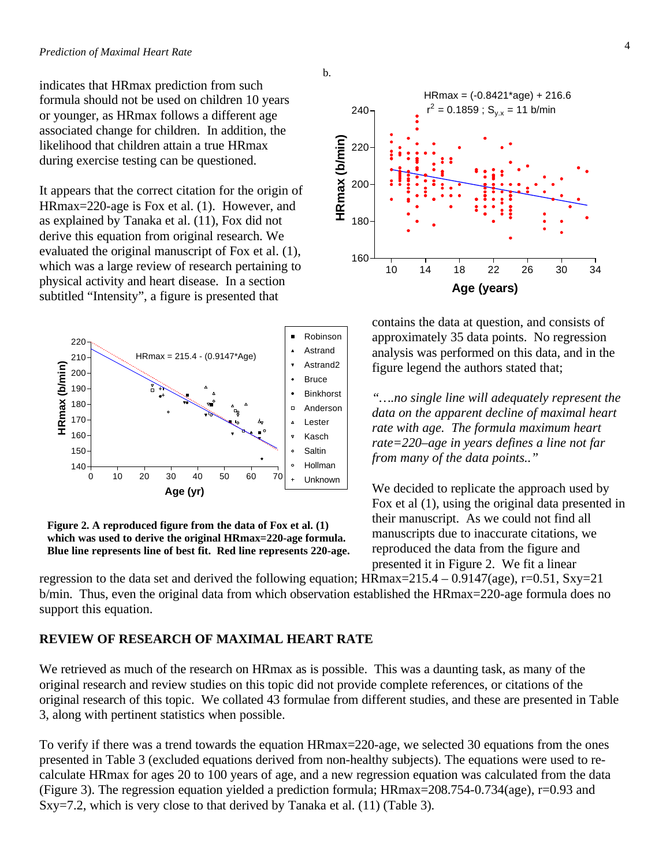indicates that HRmax prediction from such formula should not be used on children 10 years or younger, as HRmax follows a different age associated change for children. In addition, the likelihood that children attain a true HRmax during exercise testing can be questioned.

It appears that the correct citation for the origin of HRmax=220-age is Fox et al. (1). However, and as explained by Tanaka et al. (11), Fox did not derive this equation from original research. We evaluated the original manuscript of Fox et al. (1), which was a large review of research pertaining to physical activity and heart disease. In a section subtitled "Intensity", a figure is presented that



**Figure 2. A reproduced figure from the data of Fox et al. (1) which was used to derive the original HRmax=220-age formula. Blue line represents line of best fit. Red line represents 220-age.**



### **REVIEW OF RESEARCH OF MAXIMAL HEART RATE**

We retrieved as much of the research on HRmax as is possible. This was a daunting task, as many of the original research and review studies on this topic did not provide complete references, or citations of the original research of this topic. We collated 43 formulae from different studies, and these are presented in Table 3, along with pertinent statistics when possible.

To verify if there was a trend towards the equation HRmax=220-age, we selected 30 equations from the ones presented in Table 3 (excluded equations derived from non-healthy subjects). The equations were used to recalculate HRmax for ages 20 to 100 years of age, and a new regression equation was calculated from the data (Figure 3). The regression equation yielded a prediction formula; HRmax=208.754-0.734(age), r=0.93 and Sxy=7.2, which is very close to that derived by Tanaka et al. (11) (Table 3).



contains the data at question, and consists of approximately 35 data points. No regression analysis was performed on this data, and in the figure legend the authors stated that;

*"….no single line will adequately represent the data on the apparent decline of maximal heart rate with age. The formula maximum heart rate=220–age in years defines a line not far from many of the data points.."*

We decided to replicate the approach used by Fox et al (1), using the original data presented in their manuscript. As we could not find all manuscripts due to inaccurate citations, we reproduced the data from the figure and presented it in Figure 2. We fit a linear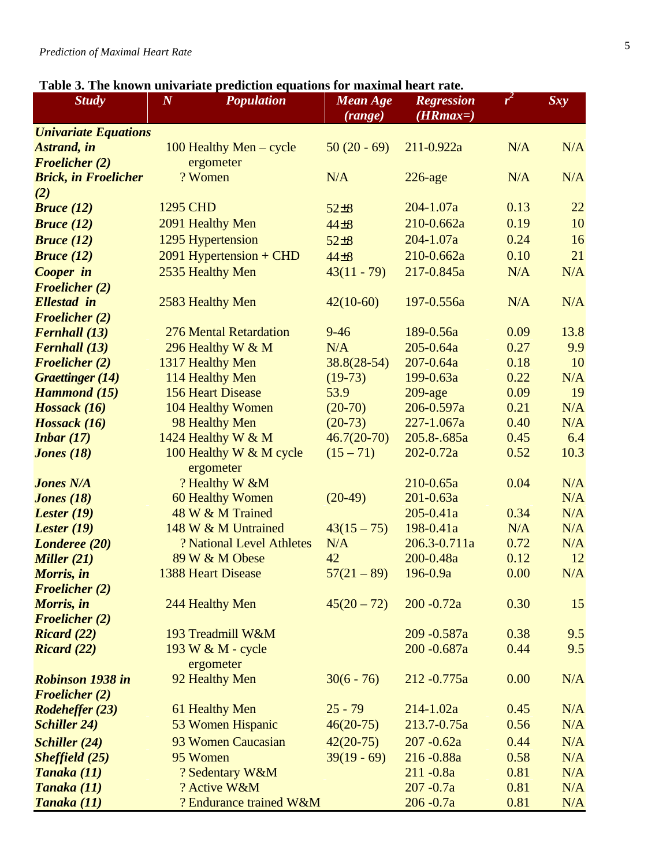| <b>Study</b>                | $\boldsymbol{N}$         | <b>Population</b>                          | <b>Mean Age</b><br><b>Regression</b><br>$(HRmax=)$<br>(range) |               | $r^2$ | Sxy  |  |
|-----------------------------|--------------------------|--------------------------------------------|---------------------------------------------------------------|---------------|-------|------|--|
| <b>Univariate Equations</b> |                          |                                            |                                                               |               |       |      |  |
| <b>Astrand</b> , in         |                          | 100 Healthy Men - cycle                    | $50(20-69)$                                                   | 211-0.922a    | N/A   | N/A  |  |
| <b>Froelicher (2)</b>       | ergometer                |                                            |                                                               |               |       |      |  |
| <b>Brick, in Froelicher</b> | ? Women                  |                                            | N/A                                                           | $226$ -age    | N/A   | N/A  |  |
| (2)                         |                          |                                            |                                                               |               |       |      |  |
| Bruce (12)                  | <b>1295 CHD</b>          |                                            | $52\pm 8$                                                     | $204 - 1.07a$ | 0.13  | 22   |  |
| Bruce (12)                  |                          | 2091 Healthy Men                           | $44\pm8$                                                      | 210-0.662a    | 0.19  | 10   |  |
| <b>Bruce</b> $(12)$         |                          | 1295 Hypertension                          | $52\pm 8$                                                     | $204 - 1.07a$ | 0.24  | 16   |  |
| Bruce (12)                  |                          | $2091$ Hypertension + CHD                  | $44\pm8$                                                      | 210-0.662a    | 0.10  | 21   |  |
| Cooper in                   |                          | 2535 Healthy Men                           | $43(11 - 79)$                                                 | 217-0.845a    | N/A   | N/A  |  |
| <b>Froelicher</b> (2)       |                          |                                            |                                                               |               |       |      |  |
| <b>Ellestad</b> in          |                          | 2583 Healthy Men                           | $42(10-60)$                                                   | 197-0.556a    | N/A   | N/A  |  |
| <b>Froelicher</b> (2)       |                          |                                            |                                                               |               |       |      |  |
| <b>Fernhall</b> (13)        |                          | <b>276 Mental Retardation</b>              | $9 - 46$                                                      | 189-0.56a     | 0.09  | 13.8 |  |
| <b>Fernhall</b> (13)        |                          | 296 Healthy W & M                          | N/A                                                           | $205 - 0.64a$ | 0.27  | 9.9  |  |
| <b>Froelicher</b> (2)       |                          | 1317 Healthy Men                           | $38.8(28-54)$                                                 | $207 - 0.64a$ | 0.18  | 10   |  |
| <b>Graettinger</b> (14)     |                          | 114 Healthy Men                            | $(19-73)$                                                     | 199-0.63a     | 0.22  | N/A  |  |
| <b>Hammond</b> (15)         | <b>156 Heart Disease</b> |                                            | 53.9                                                          | $209$ -age    | 0.09  | 19   |  |
| Hossack (16)                |                          | 104 Healthy Women                          | $(20-70)$                                                     | 206-0.597a    | 0.21  | N/A  |  |
| Hossack (16)                |                          | 98 Healthy Men                             | $(20-73)$                                                     | 227-1.067a    | 0.40  | N/A  |  |
| <i>Inbar</i> $(17)$         |                          | 1424 Healthy W & M                         | $46.7(20-70)$                                                 | 205.8-.685a   | 0.45  | 6.4  |  |
| Jones $(18)$                |                          | 100 Healthy W & M cycle                    | $(15 - 71)$                                                   | $202 - 0.72a$ | 0.52  | 10.3 |  |
|                             |                          | ergometer                                  |                                                               |               |       |      |  |
| <b>Jones N/A</b>            |                          | ? Healthy W &M                             |                                                               | $210 - 0.65a$ | 0.04  | N/A  |  |
| <i><b>Jones</b></i> $(18)$  |                          | 60 Healthy Women                           | $(20-49)$                                                     | $201 - 0.63a$ |       | N/A  |  |
| Lester $(19)$               |                          | 48 W & M Trained                           |                                                               | $205 - 0.41a$ | 0.34  | N/A  |  |
| Lester $(19)$               |                          | 148 W & M Untrained                        | $43(15-75)$                                                   | 198-0.41a     | N/A   | N/A  |  |
| Londeree (20)               |                          | ? National Level Athletes                  | N/A                                                           | 206.3-0.711a  | 0.72  | N/A  |  |
| <b>Miller</b> $(21)$        |                          | 89 W & M Obese                             | 42                                                            | 200-0.48a     | 0.12  | 12   |  |
| Morris, in                  |                          | <b>1388 Heart Disease</b><br>$57(21 - 89)$ |                                                               | 196-0.9a      | 0.00  | N/A  |  |
| <b>Froelicher (2)</b>       |                          |                                            |                                                               |               |       |      |  |
| Morris, in                  |                          | 244 Healthy Men                            | $45(20-72)$                                                   | $200 - 0.72a$ | 0.30  | 15   |  |
| <b>Froelicher</b> (2)       |                          | 193 Treadmill W&M                          |                                                               | 209-0.587a    | 0.38  | 9.5  |  |
| Ricard(22)<br>Ricard(22)    |                          | 193 W & M - cycle                          |                                                               | 200 - 0.687a  | 0.44  | 9.5  |  |
|                             |                          | ergometer                                  |                                                               |               |       |      |  |
| <b>Robinson 1938 in</b>     |                          | 92 Healthy Men                             | $30(6 - 76)$                                                  | 212-0.775a    | 0.00  | N/A  |  |
| <b>Froelicher</b> (2)       |                          |                                            |                                                               |               |       |      |  |
| <b>Rodeheffer (23)</b>      |                          | 61 Healthy Men                             | $25 - 79$                                                     | $214 - 1.02a$ | 0.45  | N/A  |  |
| <b>Schiller 24)</b>         |                          | 53 Women Hispanic                          | $46(20-75)$                                                   | 213.7-0.75a   | 0.56  | N/A  |  |
| <b>Schiller</b> (24)        |                          | 93 Women Caucasian                         | $42(20-75)$                                                   | $207 - 0.62a$ | 0.44  | N/A  |  |
| Sheffield $(25)$            |                          | 95 Women                                   | $39(19-69)$                                                   | 216-0.88a     | 0.58  | N/A  |  |
| Tanaka (11)                 |                          | ? Sedentary W&M                            |                                                               | $211 - 0.8a$  | 0.81  | N/A  |  |
| Tanaka (11)                 |                          | ? Active W&M                               |                                                               | $207 - 0.7a$  | 0.81  | N/A  |  |
| Tanaka (11)                 |                          | ? Endurance trained W&M                    |                                                               | $206 - 0.7a$  | 0.81  | N/A  |  |
|                             |                          |                                            |                                                               |               |       |      |  |

# **Table 3. The known univariate prediction equations for maximal heart rate.**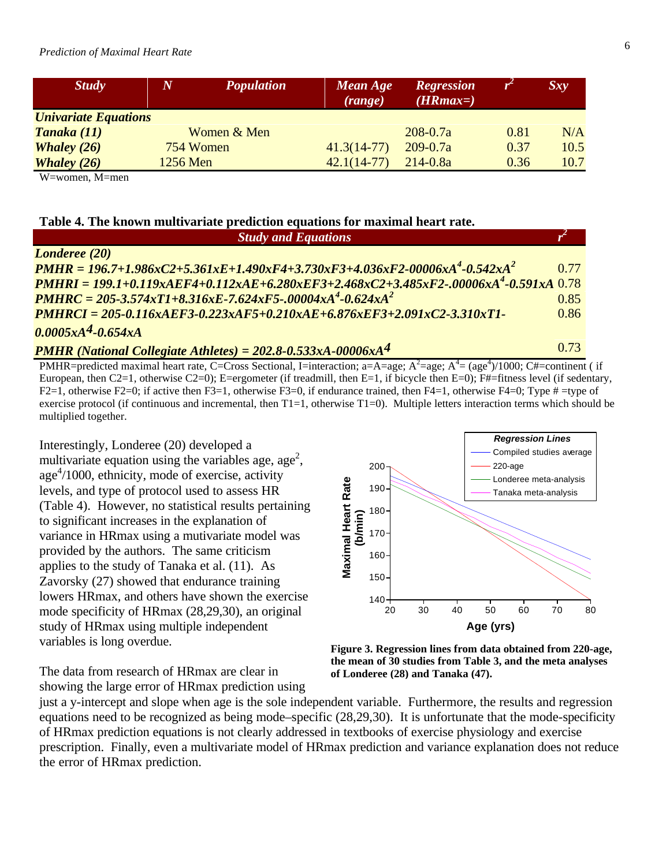# *Prediction of Maximal Heart Rate* <sup>6</sup>

| <b>Study</b>                | $\boldsymbol{N}$ | <b>Population</b> | Mean Age<br>(range) | <b>Regression</b><br>$(HRmax=)$ |      | Sxy  |
|-----------------------------|------------------|-------------------|---------------------|---------------------------------|------|------|
| <b>Univariate Equations</b> |                  |                   |                     |                                 |      |      |
| Tanaka (11)                 |                  | Women & Men       |                     | $208 - 0.7a$                    | 0.81 | N/A  |
| <b>Whaley</b> $(26)$        | 754 Women        |                   | $41.3(14-77)$       | $209 - 0.7a$                    | 0.37 | 10.5 |
| <b>Whaley</b> $(26)$        | 1256 Men         |                   | $42.1(14-77)$       | $214 - 0.8a$                    | 0.36 | 10.7 |

W=women, M=men

#### **Table 4. The known multivariate prediction equations for maximal heart rate.**

| <b>Study and Equations</b>                                                                          |      |
|-----------------------------------------------------------------------------------------------------|------|
| <b>Londeree</b> (20)                                                                                |      |
| $PMHR = 196.7 + 1.986xC2 + 5.361xE + 1.490xF4 + 3.730xF3 + 4.036xF2-00006xA^4 - 0.542xA^2$          | 0.77 |
| $PMHRI = 199.1 + 0.119xAEF4 + 0.112xAE + 6.280xEF3 + 2.468xC2 + 3.485xF2 - 00006xA4 - 0.591xA$ 0.78 |      |
| $PMHRC = 205-3.574xT1+8.316xE-7.624xF5-.00004xA^4-0.624xA^2$                                        | 0.85 |
| $PMHRCI = 205-0.116xAEF3-0.223xAF5+0.210xAE+6.876xEF3+2.091xC2-3.310xT1-$                           | 0.86 |
| $0.0005xA4-0.654xA$                                                                                 |      |

*PMHR (National Collegiate Athletes) =*  $202.8-0.533xA-00006xA^4$  0.73

PMHR=predicted maximal heart rate, C=Cross Sectional, I=interaction; a=A=age; A<sup>2</sup>=age; A<sup>4</sup>= (age<sup>4</sup>)/1000; C#=continent (if European, then C2=1, otherwise C2=0); E=ergometer (if treadmill, then E=1, if bicycle then E=0); F#=fitness level (if sedentary, F2=1, otherwise F2=0; if active then F3=1, otherwise F3=0, if endurance trained, then F4=1, otherwise F4=0; Type  $\#$  =type of exercise protocol (if continuous and incremental, then T1=1, otherwise T1=0). Multiple letters interaction terms which should be multiplied together.

Interestingly, Londeree (20) developed a multivariate equation using the variables age, age<sup>2</sup>, age 4 /1000, ethnicity, mode of exercise, activity levels, and type of protocol used to assess HR (Table 4). However, no statistical results pertaining to significant increases in the explanation of variance in HRmax using a mutivariate model was provided by the authors. The same criticism applies to the study of Tanaka et al. (11). As Zavorsky (27) showed that endurance training lowers HRmax, and others have shown the exercise mode specificity of HRmax (28,29,30), an original study of HRmax using multiple independent variables is long overdue.



**Figure 3. Regression lines from data obtained from 220-age, the mean of 30 studies from Table 3, and the meta analyses of Londeree (28) and Tanaka (47).**

The data from research of HRmax are clear in showing the large error of HRmax prediction using

just a y-intercept and slope when age is the sole independent variable. Furthermore, the results and regression equations need to be recognized as being mode–specific (28,29,30). It is unfortunate that the mode-specificity of HRmax prediction equations is not clearly addressed in textbooks of exercise physiology and exercise prescription. Finally, even a multivariate model of HRmax prediction and variance explanation does not reduce the error of HRmax prediction.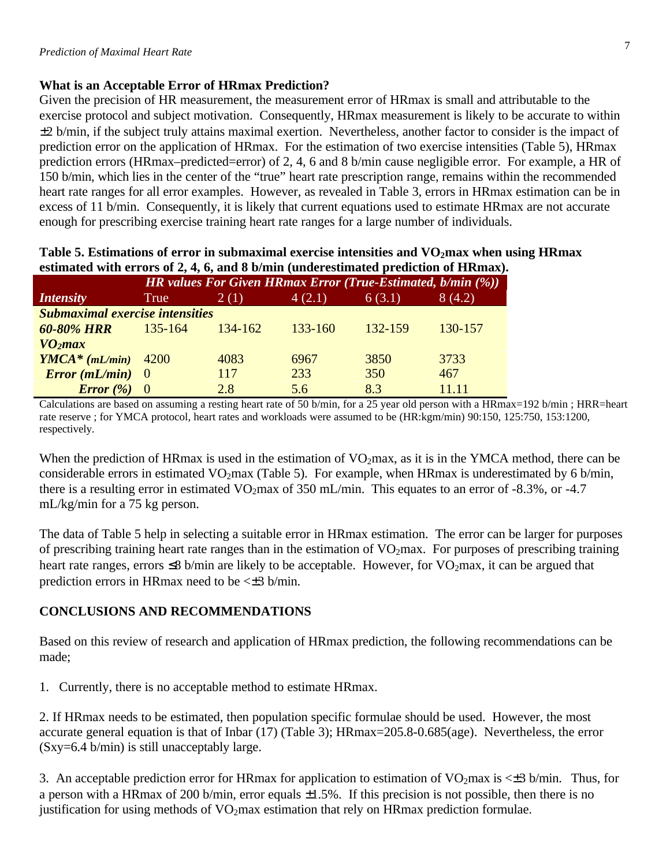## **What is an Acceptable Error of HRmax Prediction?**

Given the precision of HR measurement, the measurement error of HRmax is small and attributable to the exercise protocol and subject motivation. Consequently, HRmax measurement is likely to be accurate to within ±2 b/min, if the subject truly attains maximal exertion. Nevertheless, another factor to consider is the impact of prediction error on the application of HRmax. For the estimation of two exercise intensities (Table 5), HRmax prediction errors (HRmax–predicted=error) of 2, 4, 6 and 8 b/min cause negligible error. For example, a HR of 150 b/min, which lies in the center of the "true" heart rate prescription range, remains within the recommended heart rate ranges for all error examples. However, as revealed in Table 3, errors in HRmax estimation can be in excess of 11 b/min. Consequently, it is likely that current equations used to estimate HRmax are not accurate enough for prescribing exercise training heart rate ranges for a large number of individuals.

| estimated with errors of $2, 4, 6,$ and 8 b/min (underestimated prediction of HRmax). |                                        |                                                                    |             |         |         |  |  |  |
|---------------------------------------------------------------------------------------|----------------------------------------|--------------------------------------------------------------------|-------------|---------|---------|--|--|--|
|                                                                                       |                                        | <b>HR</b> values For Given HRmax Error (True-Estimated, b/min (%)) |             |         |         |  |  |  |
| <i>Intensity</i>                                                                      | True                                   | 2(1)                                                               | 4(2.1)      | 6(3.1)  | 8(4.2)  |  |  |  |
|                                                                                       | <b>Submaximal exercise intensities</b> |                                                                    |             |         |         |  |  |  |
| <b>60-80% HRR</b>                                                                     | 135-164                                | $134 - 162$                                                        | $133 - 160$ | 132-159 | 130-157 |  |  |  |
| VO <sub>2</sub> max                                                                   |                                        |                                                                    |             |         |         |  |  |  |
| $YMCA*(mL/min)$ 4200                                                                  |                                        | 4083                                                               | 6967        | 3850    | 3733    |  |  |  |
| Error (mL/min) 0                                                                      |                                        | 117                                                                | 233         | 350     | 467     |  |  |  |
| Error(%)                                                                              | $\overline{\phantom{0}}$               | 2.8                                                                | 5.6         | 8.3     | 11.11   |  |  |  |

**Table 5. Estimations of error in submaximal exercise intensities and VO2max when using HRmax**   $e^{f}$   $\overline{2}$ ,  $\overline{4}$ ,  $\overline{6}$ , and  $\overline{8}$  b/min (under

Calculations are based on assuming a resting heart rate of 50 b/min, for a 25 year old person with a HRmax=192 b/min ; HRR=heart rate reserve ; for YMCA protocol, heart rates and workloads were assumed to be (HR:kgm/min) 90:150, 125:750, 153:1200, respectively.

When the prediction of HRmax is used in the estimation of  $VO<sub>2</sub>$ max, as it is in the YMCA method, there can be considerable errors in estimated VO<sub>2</sub>max (Table 5). For example, when HRmax is underestimated by 6 b/min, there is a resulting error in estimated VO<sub>2</sub>max of 350 mL/min. This equates to an error of -8.3%, or -4.7 mL/kg/min for a 75 kg person.

The data of Table 5 help in selecting a suitable error in HRmax estimation. The error can be larger for purposes of prescribing training heart rate ranges than in the estimation of  $VO<sub>2</sub>$ max. For purposes of prescribing training heart rate ranges, errors  $\leq$ 8 b/min are likely to be acceptable. However, for VO<sub>2</sub>max, it can be argued that prediction errors in HRmax need to be  $\leq \pm 3$  b/min.

## **CONCLUSIONS AND RECOMMENDATIONS**

Based on this review of research and application of HRmax prediction, the following recommendations can be made;

1. Currently, there is no acceptable method to estimate HRmax.

2. If HRmax needs to be estimated, then population specific formulae should be used. However, the most accurate general equation is that of Inbar (17) (Table 3); HRmax=205.8-0.685(age). Nevertheless, the error (Sxy=6.4 b/min) is still unacceptably large.

3. An acceptable prediction error for HRmax for application to estimation of VO<sub>2</sub>max is  $\leq$  5 b/min. Thus, for a person with a HRmax of 200 b/min, error equals  $\pm 1.5$ %. If this precision is not possible, then there is no justification for using methods of  $VO<sub>2</sub>max$  estimation that rely on HRmax prediction formulae.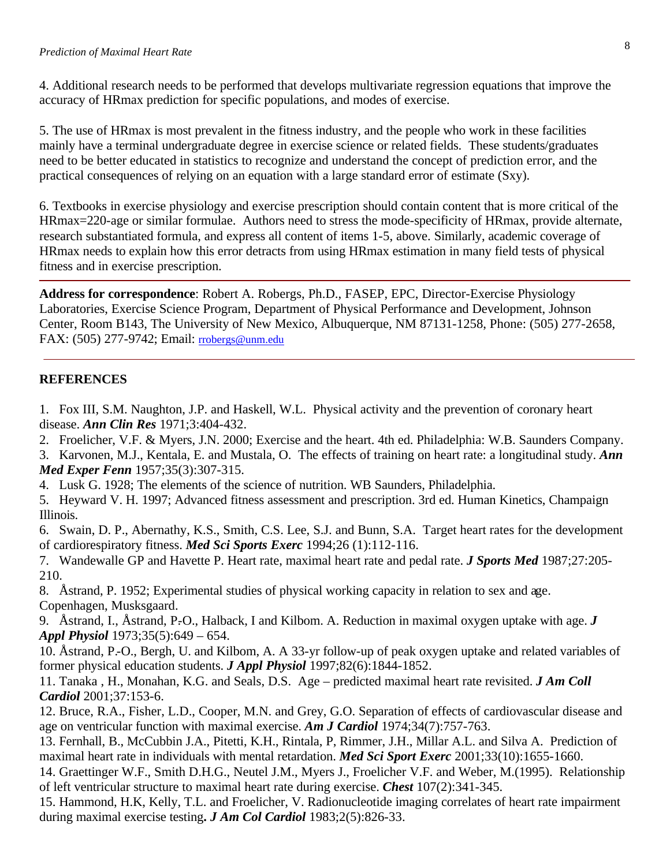4. Additional research needs to be performed that develops multivariate regression equations that improve the accuracy of HRmax prediction for specific populations, and modes of exercise.

5. The use of HRmax is most prevalent in the fitness industry, and the people who work in these facilities mainly have a terminal undergraduate degree in exercise science or related fields. These students/graduates need to be better educated in statistics to recognize and understand the concept of prediction error, and the practical consequences of relying on an equation with a large standard error of estimate (Sxy).

6. Textbooks in exercise physiology and exercise prescription should contain content that is more critical of the HRmax=220-age or similar formulae. Authors need to stress the mode-specificity of HRmax, provide alternate, research substantiated formula, and express all content of items 1-5, above. Similarly, academic coverage of HRmax needs to explain how this error detracts from using HRmax estimation in many field tests of physical fitness and in exercise prescription.

**Address for correspondence**: Robert A. Robergs, Ph.D., FASEP, EPC, Director-Exercise Physiology Laboratories, Exercise Science Program, Department of Physical Performance and Development, Johnson Center, Room B143, The University of New Mexico, Albuquerque, NM 87131-1258, Phone: (505) 277-2658, FAX: (505) 277-9742; Email: rrobergs@unm.edu

## **REFERENCES**

1. Fox III, S.M. Naughton, J.P. and Haskell, W.L. Physical activity and the prevention of coronary heart disease. *Ann Clin Res* 1971;3:404-432.

2. Froelicher, V.F. & Myers, J.N. 2000; Exercise and the heart. 4th ed. Philadelphia: W.B. Saunders Company.

3. Karvonen, M.J., Kentala, E. and Mustala, O. The effects of training on heart rate: a longitudinal study. *Ann Med Exper Fenn* 1957;35(3):307-315.

4. Lusk G. 1928; The elements of the science of nutrition. WB Saunders, Philadelphia.

5. Heyward V. H. 1997; Advanced fitness assessment and prescription. 3rd ed. Human Kinetics, Champaign Illinois.

6. Swain, D. P., Abernathy, K.S., Smith, C.S. Lee, S.J. and Bunn, S.A. Target heart rates for the development of cardiorespiratory fitness. *Med Sci Sports Exerc* 1994;26 (1):112-116.

7. Wandewalle GP and Havette P. Heart rate, maximal heart rate and pedal rate. *J Sports Med* 1987;27:205- 210.

8. Åstrand, P. 1952; Experimental studies of physical working capacity in relation to sex and age. Copenhagen, Musksgaard.

9. Åstrand, I., Åstrand, P.-O., Halback, I and Kilbom. A. Reduction in maximal oxygen uptake with age. *J Appl Physiol* 1973;35(5):649 – 654.

10. Åstrand, P.-O., Bergh, U. and Kilbom, A. A 33-yr follow-up of peak oxygen uptake and related variables of former physical education students. *J Appl Physiol* 1997;82(6):1844-1852.

11. Tanaka , H., Monahan, K.G. and Seals, D.S. Age – predicted maximal heart rate revisited. *J Am Coll Cardiol* 2001;37:153-6.

12. Bruce, R.A., Fisher, L.D., Cooper, M.N. and Grey, G.O. Separation of effects of cardiovascular disease and age on ventricular function with maximal exercise. *Am J Cardiol* 1974;34(7):757-763.

13. Fernhall, B., McCubbin J.A., Pitetti, K.H., Rintala, P, Rimmer, J.H., Millar A.L. and Silva A. Prediction of maximal heart rate in individuals with mental retardation. *Med Sci Sport Exerc* 2001;33(10):1655-1660.

14. Graettinger W.F., Smith D.H.G., Neutel J.M., Myers J., Froelicher V.F. and Weber, M.(1995). Relationship of left ventricular structure to maximal heart rate during exercise. *Chest* 107(2):341-345.

15. Hammond, H.K, Kelly, T.L. and Froelicher, V. Radionucleotide imaging correlates of heart rate impairment during maximal exercise testing**.** *J Am Col Cardiol* 1983;2(5):826-33.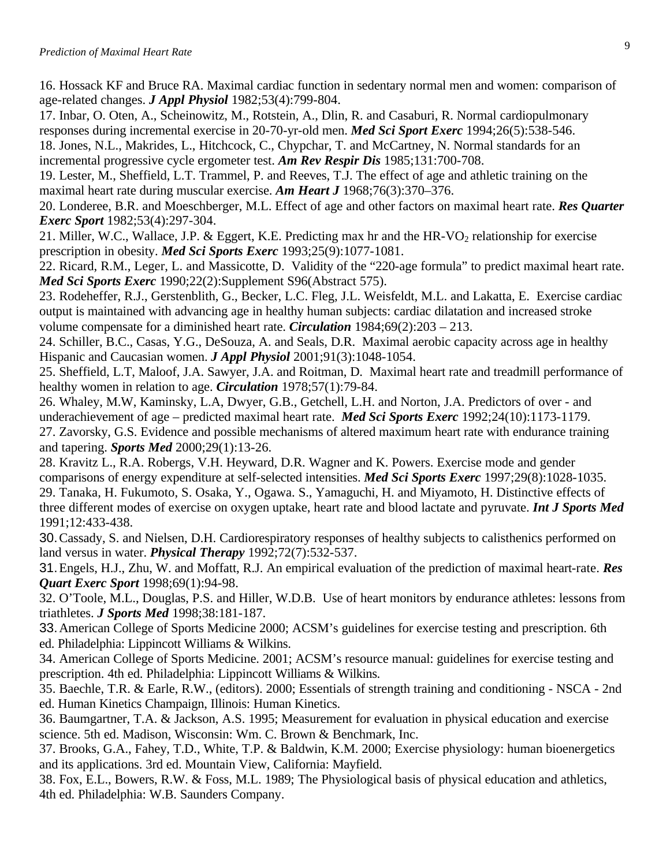16. Hossack KF and Bruce RA. Maximal cardiac function in sedentary normal men and women: comparison of age-related changes. *J Appl Physiol* 1982;53(4):799-804.

17. Inbar, O. Oten, A., Scheinowitz, M., Rotstein, A., Dlin, R. and Casaburi, R. Normal cardiopulmonary responses during incremental exercise in 20-70-yr-old men. *Med Sci Sport Exerc* 1994;26(5):538-546.

18. Jones, N.L., Makrides, L., Hitchcock, C., Chypchar, T. and McCartney, N. Normal standards for an incremental progressive cycle ergometer test. *Am Rev Respir Dis* 1985;131:700-708.

19. Lester, M., Sheffield, L.T. Trammel, P. and Reeves, T.J. The effect of age and athletic training on the maximal heart rate during muscular exercise. *Am Heart J* 1968;76(3):370–376.

20. Londeree, B.R. and Moeschberger, M.L. Effect of age and other factors on maximal heart rate. *Res Quarter Exerc Sport* 1982;53(4):297-304.

21. Miller, W.C., Wallace, J.P. & Eggert, K.E. Predicting max hr and the HR-VO<sub>2</sub> relationship for exercise prescription in obesity. *Med Sci Sports Exerc* 1993;25(9):1077-1081.

22. Ricard, R.M., Leger, L. and Massicotte, D. Validity of the "220-age formula" to predict maximal heart rate. *Med Sci Sports Exerc* 1990;22(2):Supplement S96(Abstract 575).

23. Rodeheffer, R.J., Gerstenblith, G., Becker, L.C. Fleg, J.L. Weisfeldt, M.L. and Lakatta, E. Exercise cardiac output is maintained with advancing age in healthy human subjects: cardiac dilatation and increased stroke volume compensate for a diminished heart rate. *Circulation* 1984;69(2):203 – 213.

24. Schiller, B.C., Casas, Y.G., DeSouza, A. and Seals, D.R. Maximal aerobic capacity across age in healthy Hispanic and Caucasian women. *J Appl Physiol* 2001;91(3):1048-1054.

25. Sheffield, L.T, Maloof, J.A. Sawyer, J.A. and Roitman, D. Maximal heart rate and treadmill performance of healthy women in relation to age. *Circulation* 1978;57(1):79-84.

26. Whaley, M.W, Kaminsky, L.A, Dwyer, G.B., Getchell, L.H. and Norton, J.A. Predictors of over - and underachievement of age – predicted maximal heart rate. *Med Sci Sports Exerc* 1992;24(10):1173-1179. 27. Zavorsky, G.S. Evidence and possible mechanisms of altered maximum heart rate with endurance training and tapering. *Sports Med* 2000;29(1):13-26.

28. Kravitz L., R.A. Robergs, V.H. Heyward, D.R. Wagner and K. Powers. Exercise mode and gender comparisons of energy expenditure at self-selected intensities. *Med Sci Sports Exerc* 1997;29(8):1028-1035. 29. Tanaka, H. Fukumoto, S. Osaka, Y., Ogawa. S., Yamaguchi, H. and Miyamoto, H. Distinctive effects of three different modes of exercise on oxygen uptake, heart rate and blood lactate and pyruvate. *Int J Sports Med* 1991;12:433-438.

30.Cassady, S. and Nielsen, D.H. Cardiorespiratory responses of healthy subjects to calisthenics performed on land versus in water. *Physical Therapy* 1992;72(7):532-537.

31.Engels, H.J., Zhu, W. and Moffatt, R.J. An empirical evaluation of the prediction of maximal heart-rate. *Res Quart Exerc Sport* 1998;69(1):94-98.

32. O'Toole, M.L., Douglas, P.S. and Hiller, W.D.B. Use of heart monitors by endurance athletes: lessons from triathletes. *J Sports Med* 1998;38:181-187.

33.American College of Sports Medicine 2000; ACSM's guidelines for exercise testing and prescription. 6th ed. Philadelphia: Lippincott Williams & Wilkins.

34. American College of Sports Medicine. 2001; ACSM's resource manual: guidelines for exercise testing and prescription. 4th ed. Philadelphia: Lippincott Williams & Wilkins.

35. Baechle, T.R. & Earle, R.W., (editors). 2000; Essentials of strength training and conditioning - NSCA - 2nd ed. Human Kinetics Champaign, Illinois: Human Kinetics.

36. Baumgartner, T.A. & Jackson, A.S. 1995; Measurement for evaluation in physical education and exercise science. 5th ed. Madison, Wisconsin: Wm. C. Brown & Benchmark, Inc.

37. Brooks, G.A., Fahey, T.D., White, T.P. & Baldwin, K.M. 2000; Exercise physiology: human bioenergetics and its applications. 3rd ed. Mountain View, California: Mayfield.

38. Fox, E.L., Bowers, R.W. & Foss, M.L. 1989; The Physiological basis of physical education and athletics, 4th ed. Philadelphia: W.B. Saunders Company.